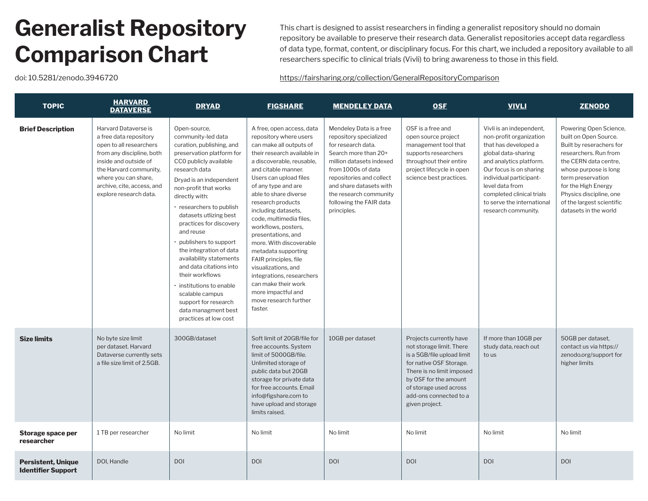## **Generalist Repository Comparison Chart**

This chart is designed to assist researchers in finding a generalist repository should no domain repository be available to preserve their research data. Generalist repositories accept data regardless of data type, format, content, or disciplinary focus. For this chart, we included a repository available to all researchers specific to clinical trials (Vivli) to bring awareness to those in this field.

doi: 10.5281/zenodo.3946720 <https://fairsharing.org/collection/GeneralRepositoryComparison>

| <b>TOPIC</b>                                           | <b>HARVARD</b><br><b>DATAVERSE</b>                                                                                                                                                                                                        | <b>DRYAD</b>                                                                                                                                                                                                                                                                                                                                                                                                                                                                                                                                                          | <b>FIGSHARE</b>                                                                                                                                                                                                                                                                                                                                                                                                                                                                                                                                                                 | <b>MENDELEY DATA</b>                                                                                                                                                                                                                                                         | <b>OSF</b>                                                                                                                                                                                                                               | <b>VIVLI</b>                                                                                                                                                                                                                                                                             | <b>ZENODO</b>                                                                                                                                                                                                                                                                       |
|--------------------------------------------------------|-------------------------------------------------------------------------------------------------------------------------------------------------------------------------------------------------------------------------------------------|-----------------------------------------------------------------------------------------------------------------------------------------------------------------------------------------------------------------------------------------------------------------------------------------------------------------------------------------------------------------------------------------------------------------------------------------------------------------------------------------------------------------------------------------------------------------------|---------------------------------------------------------------------------------------------------------------------------------------------------------------------------------------------------------------------------------------------------------------------------------------------------------------------------------------------------------------------------------------------------------------------------------------------------------------------------------------------------------------------------------------------------------------------------------|------------------------------------------------------------------------------------------------------------------------------------------------------------------------------------------------------------------------------------------------------------------------------|------------------------------------------------------------------------------------------------------------------------------------------------------------------------------------------------------------------------------------------|------------------------------------------------------------------------------------------------------------------------------------------------------------------------------------------------------------------------------------------------------------------------------------------|-------------------------------------------------------------------------------------------------------------------------------------------------------------------------------------------------------------------------------------------------------------------------------------|
| <b>Brief Description</b>                               | Harvard Dataverse is<br>a free data repository<br>open to all researchers<br>from any discipline, both<br>inside and outside of<br>the Harvard community,<br>where you can share,<br>archive, cite, access, and<br>explore research data. | Open-source,<br>community-led data<br>curation, publishing, and<br>preservation platform for<br>CCO publicly available<br>research data<br>Dryad is an independent<br>non-profit that works<br>directly with:<br>· researchers to publish<br>datasets utlizing best<br>practices for discovery<br>and reuse<br>publishers to support<br>the integration of data<br>availability statements<br>and data citations into<br>their workflows<br>$\cdot$ institutions to enable<br>scalable campus<br>support for research<br>data managment best<br>practices at low cost | A free, open access, data<br>repository where users<br>can make all outputs of<br>their research available in<br>a discoverable, reusable,<br>and citable manner.<br>Users can upload files<br>of any type and are<br>able to share diverse<br>research products<br>including datasets,<br>code, multimedia files.<br>workflows, posters,<br>presentations, and<br>more. With discoverable<br>metadata supporting<br>FAIR principles, file<br>visualizations, and<br>integrations, researchers<br>can make their work<br>more impactful and<br>move research further<br>faster. | Mendeley Data is a free<br>repository specialized<br>for research data.<br>Search more than 20+<br>million datasets indexed<br>from 1000s of data<br>repositories and collect<br>and share datasets with<br>the research community<br>following the FAIR data<br>principles. | OSF is a free and<br>open source project<br>management tool that<br>supports researchers<br>throughout their entire<br>project lifecycle in open<br>science best practices.                                                              | Vivli is an independent,<br>non-profit organization<br>that has developed a<br>global data-sharing<br>and analytics platform.<br>Our focus is on sharing<br>individual participant-<br>level data from<br>completed clinical trials<br>to serve the international<br>research community. | Powering Open Science,<br>built on Open Source.<br>Built by reserachers for<br>researchers. Run from<br>the CERN data centre.<br>whose purpose is long<br>term preservation<br>for the High Energy<br>Physics discipline, one<br>of the largest scientific<br>datasets in the world |
| <b>Size limits</b>                                     | No byte size limit<br>per dataset. Harvard<br>Dataverse currently sets<br>a file size limit of 2.5GB.                                                                                                                                     | 300GB/dataset                                                                                                                                                                                                                                                                                                                                                                                                                                                                                                                                                         | Soft limit of 20GB/file for<br>free accounts. System<br>limit of 5000GB/file.<br>Unlimited storage of<br>public data but 20GB<br>storage for private data<br>for free accounts. Email<br>info@figshare.com to<br>have upload and storage<br>limits raised.                                                                                                                                                                                                                                                                                                                      | 10GB per dataset                                                                                                                                                                                                                                                             | Projects currently have<br>not storage limit. There<br>is a 5GB/file upload limit<br>for native OSF Storage.<br>There is no limit imposed<br>by OSF for the amount<br>of storage used across<br>add-ons connected to a<br>given project. | If more than 10GB per<br>study data, reach out<br>to us                                                                                                                                                                                                                                  | 50GB per dataset.<br>contact us via https://<br>zenodo.org/support for<br>higher limits                                                                                                                                                                                             |
| Storage space per<br>researcher                        | 1 TB per researcher                                                                                                                                                                                                                       | No limit                                                                                                                                                                                                                                                                                                                                                                                                                                                                                                                                                              | No limit                                                                                                                                                                                                                                                                                                                                                                                                                                                                                                                                                                        | No limit                                                                                                                                                                                                                                                                     | No limit                                                                                                                                                                                                                                 | No limit                                                                                                                                                                                                                                                                                 | No limit                                                                                                                                                                                                                                                                            |
| <b>Persistent, Unique</b><br><b>Identifier Support</b> | DOI, Handle                                                                                                                                                                                                                               | <b>DOI</b>                                                                                                                                                                                                                                                                                                                                                                                                                                                                                                                                                            | <b>DOI</b>                                                                                                                                                                                                                                                                                                                                                                                                                                                                                                                                                                      | <b>DOI</b>                                                                                                                                                                                                                                                                   | <b>DOI</b>                                                                                                                                                                                                                               | <b>DOI</b>                                                                                                                                                                                                                                                                               | <b>DOI</b>                                                                                                                                                                                                                                                                          |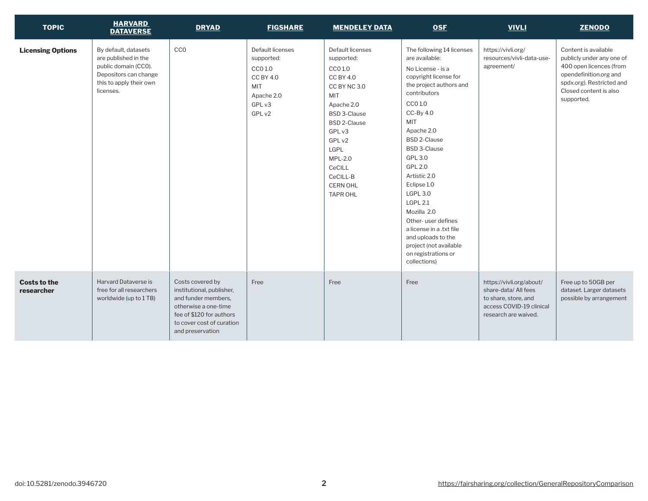| <b>TOPIC</b>                      | <b>HARVARD</b><br><b>DATAVERSE</b>                                                                                                    | <b>DRYAD</b>                                                                                                                                                              | <b>FIGSHARE</b>                                                                                        | <b>MENDELEY DATA</b>                                                                                                                                                                                                                                       | <b>OSF</b>                                                                                                                                                                                                                                                                                                                                                                                                                                                                                  | <b>VIVLI</b>                                                                                                                | <b>ZENODO</b>                                                                                                                                                               |
|-----------------------------------|---------------------------------------------------------------------------------------------------------------------------------------|---------------------------------------------------------------------------------------------------------------------------------------------------------------------------|--------------------------------------------------------------------------------------------------------|------------------------------------------------------------------------------------------------------------------------------------------------------------------------------------------------------------------------------------------------------------|---------------------------------------------------------------------------------------------------------------------------------------------------------------------------------------------------------------------------------------------------------------------------------------------------------------------------------------------------------------------------------------------------------------------------------------------------------------------------------------------|-----------------------------------------------------------------------------------------------------------------------------|-----------------------------------------------------------------------------------------------------------------------------------------------------------------------------|
| <b>Licensing Options</b>          | By default, datasets<br>are published in the<br>public domain (CCO).<br>Depositors can change<br>this to apply their own<br>licenses. | <b>CCO</b>                                                                                                                                                                | Default licenses<br>supported:<br>CCO 1.0<br><b>CC BY 4.0</b><br>MIT<br>Apache 2.0<br>GPL v3<br>GPL v2 | Default licenses<br>supported:<br>CCO 1.0<br><b>CC BY 4.0</b><br>CC BY NC 3.0<br>MIT<br>Apache 2.0<br><b>BSD 3-Clause</b><br><b>BSD 2-Clause</b><br>GPL v3<br>GPL v2<br>LGPL<br><b>MPL-2.0</b><br>CeCILL<br>CeCILL-B<br><b>CERN OHL</b><br><b>TAPR OHL</b> | The following 14 licenses<br>are available:<br>No License - is a<br>copyright license for<br>the project authors and<br>contributors<br>CCO 1.0<br>$CC-By 4.0$<br><b>MIT</b><br>Apache 2.0<br><b>BSD 2-Clause</b><br><b>BSD 3-Clause</b><br>GPL 3.0<br>GPL 2.0<br>Artistic 2.0<br>Eclipse 1.0<br><b>LGPL 3.0</b><br><b>LGPL 2.1</b><br>Mozilla 2.0<br>Other-user defines<br>a license in a .txt file<br>and uploads to the<br>project (not available<br>on registrations or<br>collections) | https://vivli.org/<br>resources/vivli-data-use-<br>agreement/                                                               | Content is available<br>publicly under any one of<br>400 open licences (from<br>opendefinition.org and<br>spdx.org). Restricted and<br>Closed content is also<br>supported. |
| <b>Costs to the</b><br>researcher | Harvard Dataverse is<br>free for all researchers<br>worldwide (up to 1 TB)                                                            | Costs covered by<br>institutional, publisher,<br>and funder members.<br>otherwise a one-time<br>fee of \$120 for authors<br>to cover cost of curation<br>and preservation | Free                                                                                                   | Free                                                                                                                                                                                                                                                       | Free                                                                                                                                                                                                                                                                                                                                                                                                                                                                                        | https://vivli.org/about/<br>share-data/All fees<br>to share, store, and<br>access COVID-19 clinical<br>research are waived. | Free up to 50GB per<br>dataset. Larger datasets<br>possible by arrangement                                                                                                  |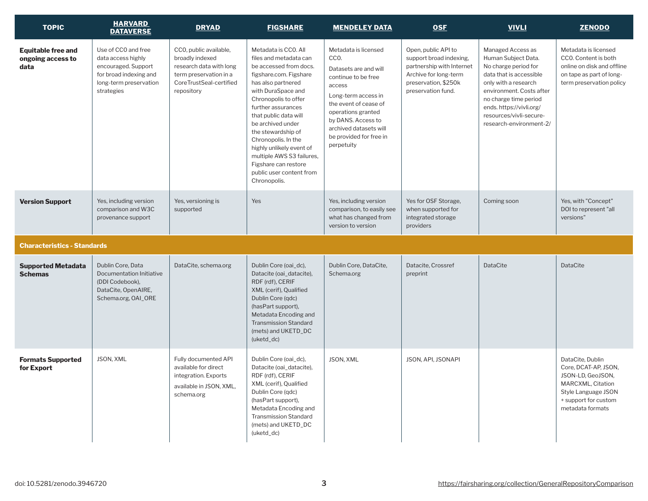| <b>TOPIC</b>                                           | <b>HARVARD</b><br><b>DATAVERSE</b>                                                                                                 | <b>DRYAD</b>                                                                                                                            | <b>FIGSHARE</b>                                                                                                                                                                                                                                                                                                                                                                                                      | <b>MENDELEY DATA</b>                                                                                                                                                                                                                                  | <b>OSF</b>                                                                                                                                         | <b>VIVLI</b>                                                                                                                                                                                                                                               | <b>ZENODO</b>                                                                                                                                         |
|--------------------------------------------------------|------------------------------------------------------------------------------------------------------------------------------------|-----------------------------------------------------------------------------------------------------------------------------------------|----------------------------------------------------------------------------------------------------------------------------------------------------------------------------------------------------------------------------------------------------------------------------------------------------------------------------------------------------------------------------------------------------------------------|-------------------------------------------------------------------------------------------------------------------------------------------------------------------------------------------------------------------------------------------------------|----------------------------------------------------------------------------------------------------------------------------------------------------|------------------------------------------------------------------------------------------------------------------------------------------------------------------------------------------------------------------------------------------------------------|-------------------------------------------------------------------------------------------------------------------------------------------------------|
| <b>Equitable free and</b><br>ongoing access to<br>data | Use of CCO and free<br>data access highly<br>encouraged. Support<br>for broad indexing and<br>long-term preservation<br>strategies | CCO, public available,<br>broadly indexed<br>research data with long<br>term preservation in a<br>CoreTrustSeal-certified<br>repository | Metadata is CCO. All<br>files and metadata can<br>be accessed from docs.<br>figshare.com. Figshare<br>has also partnered<br>with DuraSpace and<br>Chronopolis to offer<br>further assurances<br>that public data will<br>be archived under<br>the stewardship of<br>Chronopolis. In the<br>highly unlikely event of<br>multiple AWS S3 failures,<br>Figshare can restore<br>public user content from<br>Chronopolis. | Metadata is licensed<br>CCO.<br>Datasets are and will<br>continue to be free<br>access<br>Long-term access in<br>the event of cease of<br>operations granted<br>by DANS. Access to<br>archived datasets will<br>be provided for free in<br>perpetuity | Open, public API to<br>support broad indexing.<br>partnership with Internet<br>Archive for long-term<br>preservation, \$250k<br>preservation fund. | Managed Access as<br>Human Subject Data.<br>No charge period for<br>data that is accessible<br>only with a research<br>environment. Costs after<br>no charge time period<br>ends. https://vivli.org/<br>resources/vivli-secure-<br>research-environment-2/ | Metadata is licensed<br>CCO. Content is both<br>online on disk and offline<br>on tape as part of long-<br>term preservation policy                    |
| <b>Version Support</b>                                 | Yes, including version<br>comparison and W3C<br>provenance support                                                                 | Yes, versioning is<br>supported                                                                                                         | Yes                                                                                                                                                                                                                                                                                                                                                                                                                  | Yes, including version<br>comparison, to easily see<br>what has changed from<br>version to version                                                                                                                                                    | Yes for OSF Storage,<br>when supported for<br>integrated storage<br>providers                                                                      | Coming soon                                                                                                                                                                                                                                                | Yes, with "Concept"<br>DOI to represent "all<br>versions"                                                                                             |
| <b>Characteristics - Standards</b>                     |                                                                                                                                    |                                                                                                                                         |                                                                                                                                                                                                                                                                                                                                                                                                                      |                                                                                                                                                                                                                                                       |                                                                                                                                                    |                                                                                                                                                                                                                                                            |                                                                                                                                                       |
| <b>Supported Metadata</b><br><b>Schemas</b>            | Dublin Core, Data<br>Documentation Initiative<br>(DDI Codebook),<br>DataCite, OpenAIRE,<br>Schema.org, OAI_ORE                     | DataCite, schema.org                                                                                                                    | Dublin Core (oai_dc),<br>Datacite (oai_datacite),<br>RDF (rdf), CERIF<br>XML (cerif), Qualified<br>Dublin Core (qdc)<br>(hasPart support),<br>Metadata Encoding and<br><b>Transmission Standard</b><br>(mets) and UKETD_DC<br>(uketd_dc)                                                                                                                                                                             | Dublin Core, DataCite,<br>Schema.org                                                                                                                                                                                                                  | Datacite, Crossref<br>preprint                                                                                                                     | <b>DataCite</b>                                                                                                                                                                                                                                            | <b>DataCite</b>                                                                                                                                       |
| <b>Formats Supported</b><br>for Export                 | <b>JSON, XML</b>                                                                                                                   | Fully documented API<br>available for direct<br>integration. Exports<br>available in JSON, XML,<br>schema.org                           | Dublin Core (oai_dc),<br>Datacite (oai_datacite),<br>RDF (rdf), CERIF<br>XML (cerif), Qualified<br>Dublin Core (qdc)<br>(hasPart support),<br>Metadata Encoding and<br><b>Transmission Standard</b><br>(mets) and UKETD_DC<br>(uketd_dc)                                                                                                                                                                             | JSON, XML                                                                                                                                                                                                                                             | JSON, API, JSONAPI                                                                                                                                 |                                                                                                                                                                                                                                                            | DataCite, Dublin<br>Core, DCAT-AP, JSON,<br>JSON-LD, GeoJSON,<br>MARCXML, Citation<br>Style Language JSON<br>+ support for custom<br>metadata formats |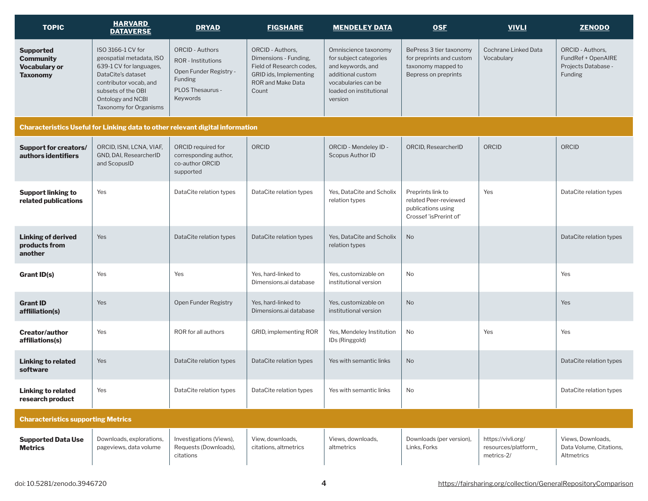| <b>TOPIC</b>                                                                    | <b>HARVARD</b><br><b>DATAVERSE</b>                                                                                                                                                            | <b>DRYAD</b>                                                                                                                    | <b>FIGSHARE</b>                                                                                                                             | <b>MENDELEY DATA</b>                                                                                                                                  | <b>OSF</b>                                                                                        | <b>VIVLI</b>                                            | <b>ZENODO</b>                                                                          |
|---------------------------------------------------------------------------------|-----------------------------------------------------------------------------------------------------------------------------------------------------------------------------------------------|---------------------------------------------------------------------------------------------------------------------------------|---------------------------------------------------------------------------------------------------------------------------------------------|-------------------------------------------------------------------------------------------------------------------------------------------------------|---------------------------------------------------------------------------------------------------|---------------------------------------------------------|----------------------------------------------------------------------------------------|
| <b>Supported</b><br><b>Community</b><br><b>Vocabulary or</b><br><b>Taxonomy</b> | ISO 3166-1 CV for<br>geospatial metadata, ISO<br>639-1 CV for languages,<br>DataCite's dataset<br>contributor vocab, and<br>subsets of the OBI<br>Ontology and NCBI<br>Taxonomy for Organisms | <b>ORCID - Authors</b><br><b>ROR</b> - Institutions<br>Open Funder Registry -<br><b>Funding</b><br>PLOS Thesaurus -<br>Keywords | <b>ORCID - Authors,</b><br>Dimensions - Funding,<br>Field of Research codes,<br>GRID ids, Implementing<br><b>ROR and Make Data</b><br>Count | Omniscience taxonomy<br>for subject categories<br>and keywords, and<br>additional custom<br>vocabularies can be<br>loaded on institutional<br>version | BePress 3 tier taxonomy<br>for preprints and custom<br>taxonomy mapped to<br>Bepress on preprints | <b>Cochrane Linked Data</b><br>Vocabulary               | <b>ORCID - Authors,</b><br>FundRef + OpenAIRE<br>Projects Database -<br><b>Funding</b> |
|                                                                                 |                                                                                                                                                                                               | Characteristics Useful for Linking data to other relevant digital information                                                   |                                                                                                                                             |                                                                                                                                                       |                                                                                                   |                                                         |                                                                                        |
| <b>Support for creators/</b><br>authors identifiers                             | ORCID, ISNI, LCNA, VIAF,<br>GND, DAI, ResearcherID<br>and ScopusID                                                                                                                            | ORCID required for<br>corresponding author,<br>co-author ORCID<br>supported                                                     | ORCID                                                                                                                                       | ORCID - Mendeley ID -<br>Scopus Author ID                                                                                                             | ORCID, ResearcherID                                                                               | ORCID                                                   | ORCID                                                                                  |
| <b>Support linking to</b><br>related publications                               | Yes                                                                                                                                                                                           | DataCite relation types                                                                                                         | DataCite relation types                                                                                                                     | Yes, DataCite and Scholix<br>relation types                                                                                                           | Preprints link to<br>related Peer-reviewed<br>publications using<br>Crossef 'isPrerint of'        | Yes                                                     | DataCite relation types                                                                |
| <b>Linking of derived</b><br>products from<br>another                           | Yes                                                                                                                                                                                           | DataCite relation types                                                                                                         | DataCite relation types                                                                                                                     | Yes. DataCite and Scholix<br>relation types                                                                                                           | <b>No</b>                                                                                         |                                                         | DataCite relation types                                                                |
| <b>Grant ID(s)</b>                                                              | Yes                                                                                                                                                                                           | Yes                                                                                                                             | Yes, hard-linked to<br>Dimensions.ai database                                                                                               | Yes, customizable on<br>institutional version                                                                                                         | No                                                                                                |                                                         | Yes                                                                                    |
| <b>Grant ID</b><br>affliliation(s)                                              | Yes                                                                                                                                                                                           | Open Funder Registry                                                                                                            | Yes, hard-linked to<br>Dimensions.ai database                                                                                               | Yes, customizable on<br>institutional version                                                                                                         | <b>No</b>                                                                                         |                                                         | Yes                                                                                    |
| <b>Creator/author</b><br>affiliations(s)                                        | Yes                                                                                                                                                                                           | ROR for all authors                                                                                                             | GRID, implementing ROR                                                                                                                      | Yes, Mendeley Institution<br>IDs (Ringgold)                                                                                                           | No                                                                                                | Yes                                                     | Yes                                                                                    |
| <b>Linking to related</b><br>software                                           | Yes                                                                                                                                                                                           | DataCite relation types                                                                                                         | DataCite relation types                                                                                                                     | Yes with semantic links                                                                                                                               | <b>No</b>                                                                                         |                                                         | DataCite relation types                                                                |
| <b>Linking to related</b><br>research product                                   | Yes                                                                                                                                                                                           | DataCite relation types                                                                                                         | DataCite relation types                                                                                                                     | Yes with semantic links                                                                                                                               | No                                                                                                |                                                         | DataCite relation types                                                                |
| <b>Characteristics supporting Metrics</b>                                       |                                                                                                                                                                                               |                                                                                                                                 |                                                                                                                                             |                                                                                                                                                       |                                                                                                   |                                                         |                                                                                        |
| <b>Supported Data Use</b><br><b>Metrics</b>                                     | Downloads, explorations,<br>pageviews, data volume                                                                                                                                            | Investigations (Views),<br>Requests (Downloads),<br>citations                                                                   | View, downloads,<br>citations, altmetrics                                                                                                   | Views, downloads,<br>altmetrics                                                                                                                       | Downloads (per version),<br>Links, Forks                                                          | https://vivli.org/<br>resources/platform_<br>metrics-2/ | Views, Downloads,<br>Data Volume, Citations,<br>Altmetrics                             |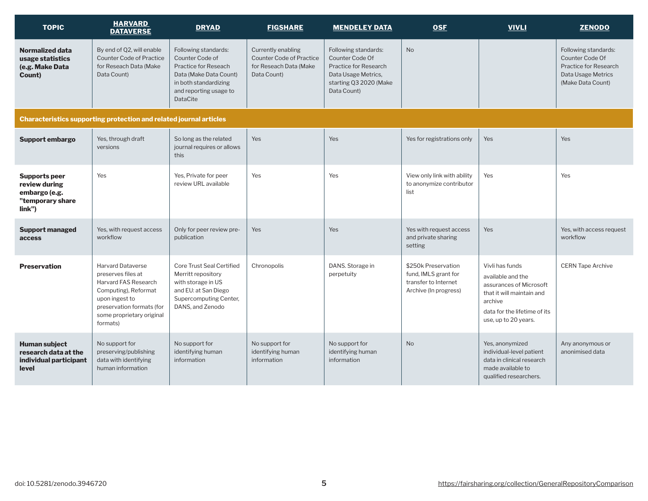| <b>TOPIC</b>                                                                         | <b>HARVARD</b><br><b>DATAVERSE</b>                                                                                                                                                     | <b>DRYAD</b>                                                                                                                                                    | <b>FIGSHARE</b>                                                                                | <b>MENDELEY DATA</b>                                                                                                             | <b>OSF</b>                                                                                   | <b>VIVLI</b>                                                                                                                                                    | <b>ZENODO</b>                                                                                               |
|--------------------------------------------------------------------------------------|----------------------------------------------------------------------------------------------------------------------------------------------------------------------------------------|-----------------------------------------------------------------------------------------------------------------------------------------------------------------|------------------------------------------------------------------------------------------------|----------------------------------------------------------------------------------------------------------------------------------|----------------------------------------------------------------------------------------------|-----------------------------------------------------------------------------------------------------------------------------------------------------------------|-------------------------------------------------------------------------------------------------------------|
| <b>Normalized data</b><br>usage statistics<br>(e.g. Make Data<br>Count)              | By end of Q2, will enable<br><b>Counter Code of Practice</b><br>for Reseach Data (Make<br>Data Count)                                                                                  | Following standards:<br>Counter Code of<br>Practice for Reseach<br>Data (Make Data Count)<br>in both standardizing<br>and reporting usage to<br><b>DataCite</b> | Currently enabling<br><b>Counter Code of Practice</b><br>for Reseach Data (Make<br>Data Count) | Following standards:<br>Counter Code Of<br>Practice for Research<br>Data Usage Metrics,<br>starting Q3 2020 (Make<br>Data Count) | <b>No</b>                                                                                    |                                                                                                                                                                 | Following standards:<br>Counter Code Of<br>Practice for Research<br>Data Usage Metrics<br>(Make Data Count) |
|                                                                                      | Characteristics supporting protection and related journal articles                                                                                                                     |                                                                                                                                                                 |                                                                                                |                                                                                                                                  |                                                                                              |                                                                                                                                                                 |                                                                                                             |
| Support embargo                                                                      | Yes, through draft<br>versions                                                                                                                                                         | So long as the related<br>journal requires or allows<br>this                                                                                                    | <b>Yes</b>                                                                                     | Yes                                                                                                                              | Yes for registrations only                                                                   | <b>Yes</b>                                                                                                                                                      | Yes                                                                                                         |
| <b>Supports peer</b><br>review during<br>embargo (e.g.<br>"temporary share<br>link") | Yes                                                                                                                                                                                    | Yes, Private for peer<br>review URL available                                                                                                                   | Yes                                                                                            | Yes                                                                                                                              | View only link with ability<br>to anonymize contributor<br>list                              | Yes                                                                                                                                                             | Yes                                                                                                         |
| <b>Support managed</b><br>access                                                     | Yes, with request access<br>workflow                                                                                                                                                   | Only for peer review pre-<br>publication                                                                                                                        | <b>Yes</b>                                                                                     | Yes                                                                                                                              | Yes with request access<br>and private sharing<br>setting                                    | Yes                                                                                                                                                             | Yes, with access request<br>workflow                                                                        |
| <b>Preservation</b>                                                                  | <b>Harvard Dataverse</b><br>preserves files at<br>Harvard FAS Research<br>Computing), Reformat<br>upon ingest to<br>preservation formats (for<br>some proprietary original<br>formats) | <b>Core Trust Seal Certified</b><br>Merritt repository<br>with storage in US<br>and EU: at San Diego<br>Supercomputing Center,<br>DANS, and Zenodo              | Chronopolis                                                                                    | DANS. Storage in<br>perpetuity                                                                                                   | \$250k Preservation<br>fund, IMLS grant for<br>transfer to Internet<br>Archive (In progress) | Vivli has funds<br>available and the<br>assurances of Microsoft<br>that it will maintain and<br>archive<br>data for the lifetime of its<br>use, up to 20 years. | <b>CERN Tape Archive</b>                                                                                    |
| <b>Human subject</b><br>research data at the<br>individual participant<br>level      | No support for<br>preserving/publishing<br>data with identifying<br>human information                                                                                                  | No support for<br>identifying human<br>information                                                                                                              | No support for<br>identifying human<br>information                                             | No support for<br>identifying human<br>information                                                                               | <b>No</b>                                                                                    | Yes, anonymized<br>individual-level patient<br>data in clinical research<br>made available to<br>qualified researchers.                                         | Any anonymous or<br>anonimised data                                                                         |